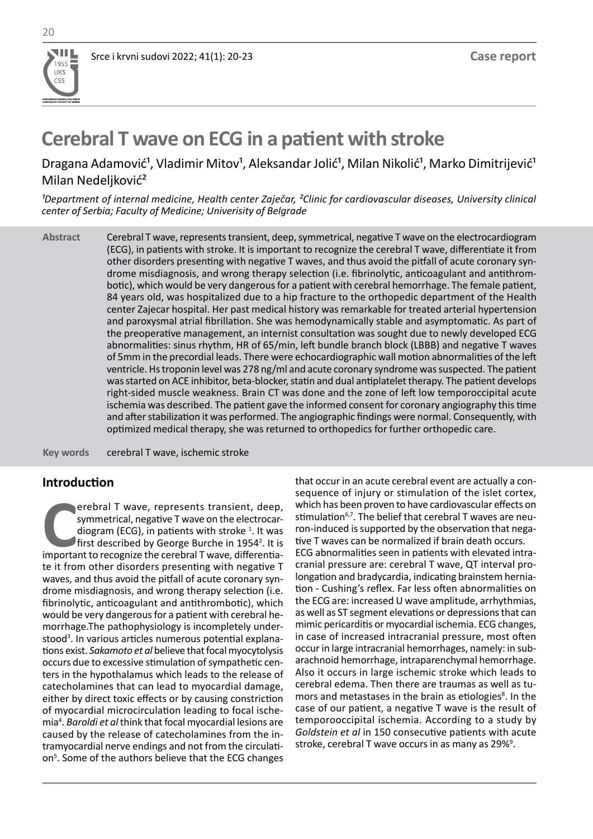**UDRUŽENJE KARDIOLOGA SRBIJE CARDIOLOGY SOCIETY OF SERBIA**

W 1955 UKS

# **Cerebral T wave on ECG in a patient with stroke**

Dragana Adamović<sup>1</sup>, Vladimir Mitov<sup>1</sup>, Aleksandar Jolić<sup>1</sup>, Milan Nikolić<sup>1</sup>, Marko Dimitrijević<sup>1</sup> Milan Nedeljković²

<sup>1</sup>Department of internal medicine, Health center Zaječar, <sup>2</sup>Clinic for cardiovascular diseases, University clinical *center of Serbia; Faculty of Medicine; Univerisity of Belgrade*

Cerebral T wave, represents transient, deep, symmetrical, negative T wave on the electrocardiogram (ECG), in patients with stroke. It is important to recognize the cerebral T wave, differentiate it from other disorders presenting with negative T waves, and thus avoid the pitfall of acute coronary syndrome misdiagnosis, and wrong therapy selection (i.e. fibrinolytic, anticoagulant and antithrombotic), which would be very dangerous for a patient with cerebral hemorrhage. The female patient, 84 years old, was hospitalized due to a hip fracture to the orthopedic department of the Health center Zajecar hospital. Her past medical history was remarkable for treated arterial hypertension and paroxysmal atrial fibrillation. She was hemodynamically stable and asymptomatic. As part of the preoperative management, an internist consultation was sought due to newly developed ECG abnormalities: sinus rhythm, HR of 65/min, left bundle branch block (LBBB) and negative T waves of 5mm in the precordial leads. There were echocardiographic wall motion abnormalities of the left ventricle. Hs troponin level was 278 ng/ml and acute coronary syndrome was suspected. The patient was started on ACE inhibitor, beta-blocker, statin and dual antiplatelet therapy. The patient develops right-sided muscle weakness. Brain CT was done and the zone of left low temporoccipital acute ischemia was described. The patient gave the informed consent for coronary angiography this time and after stabilization it was performed. The angiographic findings were normal. Consequently, with optimized medical therapy, she was returned to orthopedics for further orthopedic care. **Abstract**

cerebral T wave, ischemic stroke **Key words** 

## **Introduction**

**COMPREDENT TO REVIDED SUMPLE TO PRESENT A SUMPLE THE CONDUCT AND FIRST ALLOW THE CONDUCT AND FIRST A SURVEY THAT A SUMPLE THE CONDUCT A SUMPLE THE CONDUCT A SUMPLE THE CONDUCT A SUMPLE THE CONDUCT A SUPPLE THE CONDUCT A S** erebral T wave, represents transient, deep, symmetrical, negative T wave on the electrocardiogram (ECG), in patients with stroke  $^1$ . It was first described by George Burche in 1954<sup>2</sup>. It is te it from other disorders presenting with negative T waves, and thus avoid the pitfall of acute coronary syndrome misdiagnosis, and wrong therapy selection (i.e. fibrinolytic, anticoagulant and antithrombotic), which would be very dangerous for a patient with cerebral hemorrhage.The pathophysiology is incompletely understood<sup>3</sup>. In various articles numerous potential explanations exist. *Sakamoto et al* believe that focal myocytolysis occurs due to excessive stimulation of sympathetic centers in the hypothalamus which leads to the release of catecholamines that can lead to myocardial damage, either by direct toxic effects or by causing constriction of myocardial microcirculation leading to focal ischemia4 . *Baroldi et al* think that focal myocardial lesions are caused by the release of catecholamines from the intramyocardial nerve endings and not from the circulation<sup>5</sup>. Some of the authors believe that the ECG changes that occur in an acute cerebral event are actually a consequence of injury or stimulation of the islet cortex, which has been proven to have cardiovascular effects on stimulation<sup>6,7</sup>. The belief that cerebral T waves are neuron-induced is supported by the observation that negative T waves can be normalized if brain death occurs. ECG abnormalities seen in patients with elevated intracranial pressure are: cerebral T wave, QT interval prolongation and bradycardia, indicating brainstem herniation - Cushing's reflex. Far less often abnormalities on the ECG are: increased U wave amplitude, arrhythmias, as well as ST segment elevations or depressions that can mimic pericarditis or myocardial ischemia. ECG changes, in case of increased intracranial pressure, most often occur in large intracranial hemorrhages, namely: in subarachnoid hemorrhage, intraparenchymal hemorrhage. Also it occurs in large ischemic stroke which leads to cerebral edema. Then there are traumas as well as tumors and metastases in the brain as etiologies<sup>8</sup>. In the case of our patient, a negative T wave is the result of temporooccipital ischemia. According to a study by *Goldstein et al* in 150 consecutive patients with acute stroke, cerebral T wave occurs in as many as 29%<sup>9</sup>.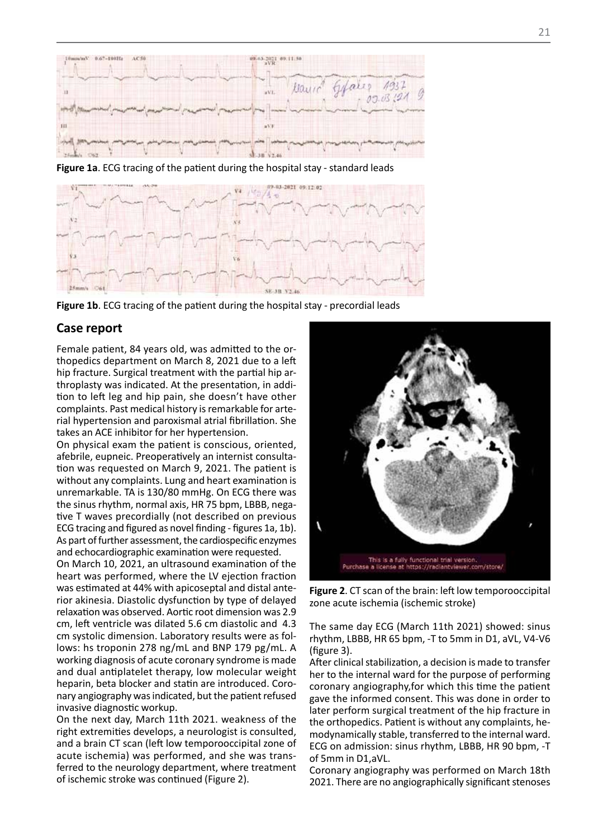

**Figure 1a**. ECG tracing of the patient during the hospital stay - standard leads



Figure 1b. ECG tracing of the patient during the hospital stay - precordial leads

### **Case report**

Female patient, 84 years old, was admitted to the orthopedics department on March 8, 2021 due to a left hip fracture. Surgical treatment with the partial hip arthroplasty was indicated. At the presentation, in addition to left leg and hip pain, she doesn't have other complaints. Past medical history is remarkable for arterial hypertension and paroxismal atrial fibrillation. She takes an ACE inhibitor for her hypertension.

On physical exam the patient is conscious, oriented, afebrile, eupneic. Preoperatively an internist consultation was requested on March 9, 2021. The patient is without any complaints. Lung and heart examination is unremarkable. TA is 130/80 mmHg. On ECG there was the sinus rhythm, normal axis, HR 75 bpm, LBBB, negative T waves precordially (not described on previous ECG tracing and figured as novel finding - figures 1a, 1b). As part of further assessment, the cardiospecific enzymes and echocardiographic examination were requested.

On March 10, 2021, an ultrasound examination of the heart was performed, where the LV ejection fraction was estimated at 44% with apicoseptal and distal anterior akinesia. Diastolic dysfunction by type of delayed relaxation was observed. Aortic root dimension was 2.9 cm, left ventricle was dilated 5.6 cm diastolic and 4.3 cm systolic dimension. Laboratory results were as follows: hs troponin 278 ng/mL and BNP 179 pg/mL. A working diagnosis of acute coronary syndrome is made and dual antiplatelet therapy, low molecular weight heparin, beta blocker and statin are introduced. Coronary angiography was indicated, but the patient refused invasive diagnostic workup.

On the next day, March 11th 2021. weakness of the right extremities develops, a neurologist is consulted, and a brain CT scan (left low temporooccipital zone of acute ischemia) was performed, and she was transferred to the neurology department, where treatment of ischemic stroke was continued (Figure 2).



**Figure 2**. CT scan of the brain: left low temporooccipital zone acute ischemia (ischemic stroke)

The same day ECG (March 11th 2021) showed: sinus rhythm, LBBB, HR 65 bpm, -T to 5mm in D1, aVL, V4-V6 (figure 3).

After clinical stabilization, a decision is made to transfer her to the internal ward for the purpose of performing coronary angiography,for which this time the patient gave the informed consent. This was done in order to later perform surgical treatment of the hip fracture in the orthopedics. Patient is without any complaints, hemodynamically stable, transferred to the internal ward. ECG on admission: sinus rhythm, LBBB, HR 90 bpm, -T of 5mm in D1,aVL.

Coronary angiography was performed on March 18th 2021. There are no angiographically significant stenoses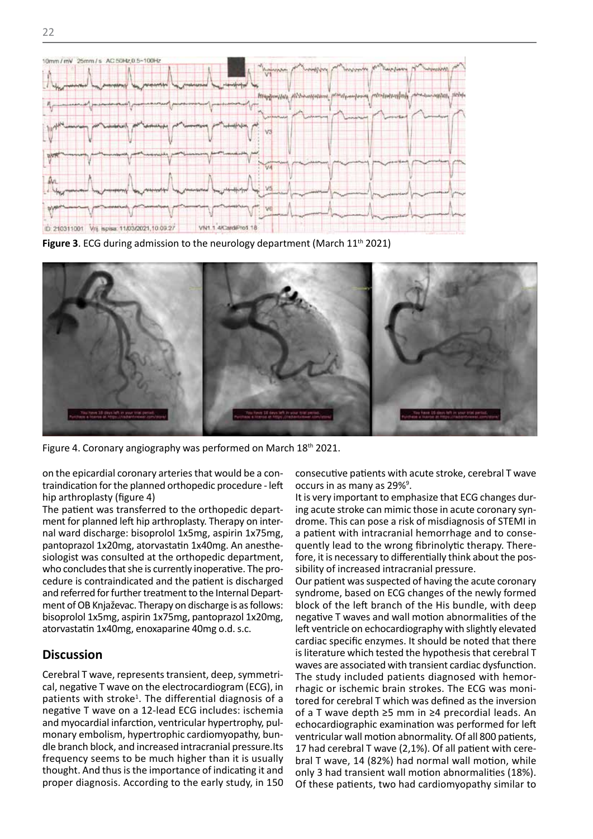

Figure 3. ECG during admission to the neurology department (March 11<sup>th</sup> 2021)



Figure 4. Coronary angiography was performed on March 18th 2021. Figure 4. Coronary angiography was performed on March 18th 2021.

on the epicardial coronary arteries that would be a contraindication for the planned orthopedic procedure - left occurs in as many as 29%<sup>9</sup>. hip arthroplasty (figure 4)

The patient was transferred to the orthopedic department for planned left hip arthroplasty. Therapy on inter-<br>ment for planned left hip arthroplasty. Therapy on inter-<br>drome. This can pose nal ward discharge: bisoprolol 1x5mg, aspirin 1x75mg, pantoprazol 1x20mg, atorvastatin 1x40mg. An anesthewho concludes that she is currently inoperative. The procedure is contraindicated and the patient is discharged and referred for further treatment to the Internal Department of OB Knjaževac. Therapy on discharge is as follows: bisoprolol 1x5mg, aspirin 1x75mg, pantoprazol 1x20mg, atorvastatin 1x40mg, enoxaparine 40mg o.d. s.c.

## **Discussion**

Cerebral T wave, represents transient, deep, symmetrical, negative T wave on the electrocardiogram (ECG), in patients with stroke<sup>1</sup>. The differential diagnosis of a negative T wave on a 12-lead ECG includes: ischemia and myocardial infarction, ventricular hypertrophy, pulmonary embolism, hypertrophic cardiomyopathy, bundle branch block, and increased intracranial pressure.Its frequency seems to be much higher than it is usually thought. And thus is the importance of indicating it and proper diagnosis. According to the early study, in 150

consecutive patients with acute stroke, cerebral T wave occurs in as many as 29%<sup>9</sup>.

siologist was consulted at the orthopedic department, fore, it is necessary to differentially think about the poship arthroplasty (figure 4) let is very important to emphasize that ECG changes during acute stroke can mimic those in acute coronary syndrome. This can pose a risk of misdiagnosis of STEMI in a patient with intracranial hemorrhage and to consepantoprazol 1x20mg, atorvastatin 1x40mg. An anesthe- quently lead to the wrong fibrinolytic therapy. Therefore, it is necessary to differentially think about the possibility of increased intracranial pressure.

> Our patient was suspected of having the acute coronary syndrome, based on ECG changes of the newly formed block of the left branch of the His bundle, with deep negative T waves and wall motion abnormalities of the left ventricle on echocardiography with slightly elevated cardiac specific enzymes. It should be noted that there is literature which tested the hypothesis that cerebral T waves are associated with transient cardiac dysfunction. The study included patients diagnosed with hemorrhagic or ischemic brain strokes. The ECG was monitored for cerebral T which was defined as the inversion of a T wave depth ≥5 mm in ≥4 precordial leads. An echocardiographic examination was performed for left ventricular wall motion abnormality. Of all 800 patients, 17 had cerebral T wave (2,1%). Of all patient with cerebral T wave, 14 (82%) had normal wall motion, while only 3 had transient wall motion abnormalities (18%). Of these patients, two had cardiomyopathy similar to